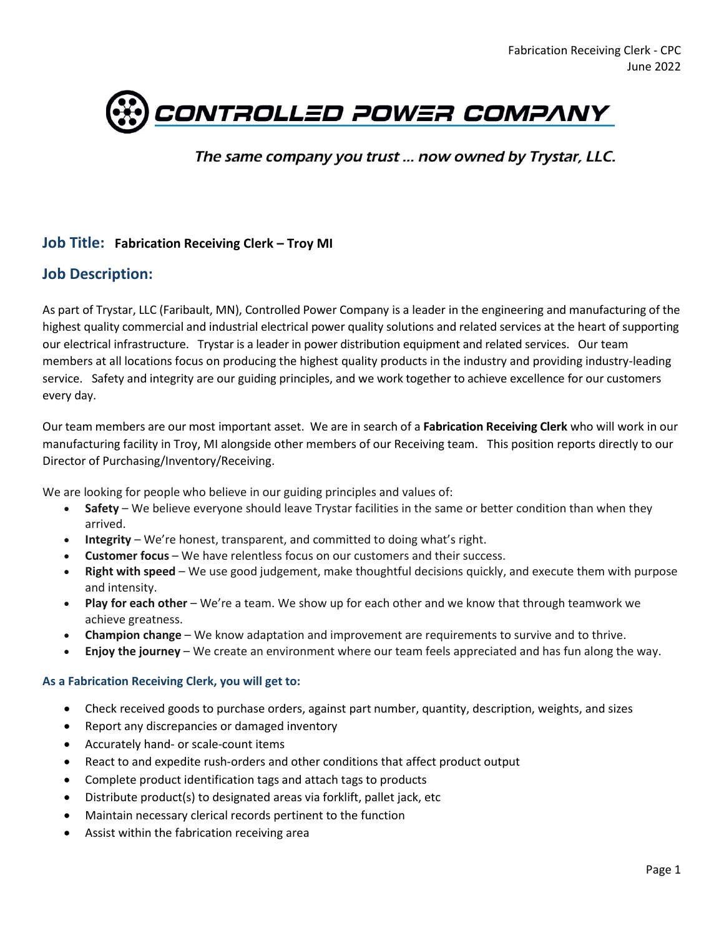

The same company you trust ... now owned by Trystar, LLC.

#### **Job Title: Fabrication Receiving Clerk – Troy MI**

#### **Job Description:**

As part of Trystar, LLC (Faribault, MN), Controlled Power Company is a leader in the engineering and manufacturing of the highest quality commercial and industrial electrical power quality solutions and related services at the heart of supporting our electrical infrastructure. Trystar is a leader in power distribution equipment and related services. Our team members at all locations focus on producing the highest quality products in the industry and providing industry-leading service. Safety and integrity are our guiding principles, and we work together to achieve excellence for our customers every day.

Our team members are our most important asset. We are in search of a **Fabrication Receiving Clerk** who will work in our manufacturing facility in Troy, MI alongside other members of our Receiving team. This position reports directly to our Director of Purchasing/Inventory/Receiving.

We are looking for people who believe in our guiding principles and values of:

- **Safety** We believe everyone should leave Trystar facilities in the same or better condition than when they arrived.
- **Integrity** We're honest, transparent, and committed to doing what's right.
- **Customer focus** We have relentless focus on our customers and their success.
- **Right with speed** We use good judgement, make thoughtful decisions quickly, and execute them with purpose and intensity.
- **Play for each other** We're a team. We show up for each other and we know that through teamwork we achieve greatness.
- **Champion change** We know adaptation and improvement are requirements to survive and to thrive.
- **Enjoy the journey** We create an environment where our team feels appreciated and has fun along the way.

#### **As a Fabrication Receiving Clerk, you will get to:**

- Check received goods to purchase orders, against part number, quantity, description, weights, and sizes
- Report any discrepancies or damaged inventory
- Accurately hand- or scale-count items
- React to and expedite rush-orders and other conditions that affect product output
- Complete product identification tags and attach tags to products
- Distribute product(s) to designated areas via forklift, pallet jack, etc
- Maintain necessary clerical records pertinent to the function
- Assist within the fabrication receiving area